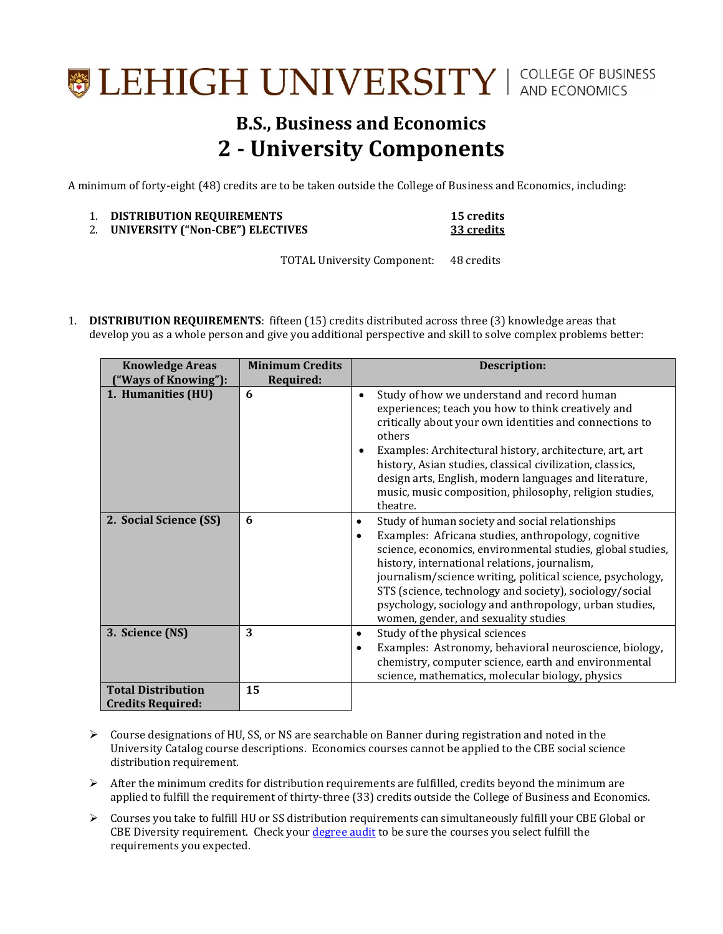## **SEHIGH UNIVERSITY** | COLLEGE OF BUSINESS

## **B.S., Business and Economics 2 - University Components**

A minimum of forty-eight (48) credits are to be taken outside the College of Business and Economics, including:

| <b>DISTRIBUTION REQUIREMENTS</b> | <b>15 credits</b> |
|----------------------------------|-------------------|
| UNIVERSITY ("Non-CBE") ELECTIVES | 33 credits        |

TOTAL University Component: 48 credits

1. **DISTRIBUTION REQUIREMENTS**: fifteen (15) credits distributed across three (3) knowledge areas that develop you as a whole person and give you additional perspective and skill to solve complex problems better:

| <b>Knowledge Areas</b>                                | <b>Minimum Credits</b> | <b>Description:</b>                                                                                                                                                                                                                                                                                                                                                                                                                                                        |
|-------------------------------------------------------|------------------------|----------------------------------------------------------------------------------------------------------------------------------------------------------------------------------------------------------------------------------------------------------------------------------------------------------------------------------------------------------------------------------------------------------------------------------------------------------------------------|
| ("Ways of Knowing"):                                  | <b>Required:</b>       |                                                                                                                                                                                                                                                                                                                                                                                                                                                                            |
| 1. Humanities (HU)                                    | 6                      | Study of how we understand and record human<br>experiences; teach you how to think creatively and<br>critically about your own identities and connections to<br>others<br>Examples: Architectural history, architecture, art, art<br>history, Asian studies, classical civilization, classics,<br>design arts, English, modern languages and literature,<br>music, music composition, philosophy, religion studies,<br>theatre.                                            |
| 2. Social Science (SS)                                | 6                      | Study of human society and social relationships<br>$\bullet$<br>Examples: Africana studies, anthropology, cognitive<br>$\bullet$<br>science, economics, environmental studies, global studies,<br>history, international relations, journalism,<br>journalism/science writing, political science, psychology,<br>STS (science, technology and society), sociology/social<br>psychology, sociology and anthropology, urban studies,<br>women, gender, and sexuality studies |
| 3. Science (NS)                                       | 3                      | Study of the physical sciences<br>$\bullet$<br>Examples: Astronomy, behavioral neuroscience, biology,<br>$\bullet$<br>chemistry, computer science, earth and environmental<br>science, mathematics, molecular biology, physics                                                                                                                                                                                                                                             |
| <b>Total Distribution</b><br><b>Credits Required:</b> | 15                     |                                                                                                                                                                                                                                                                                                                                                                                                                                                                            |

- $\triangleright$  Course designations of HU, SS, or NS are searchable on Banner during registration and noted in the University Catalog course descriptions. Economics courses cannot be applied to the CBE social science distribution requirement.
- $\triangleright$  After the minimum credits for distribution requirements are fulfilled, credits beyond the minimum are applied to fulfill the requirement of thirty-three (33) credits outside the College of Business and Economics.
- Courses you take to fulfill HU or SS distribution requirements can simultaneously fulfill your CBE Global or CBE Diversity requirement. Check your [degree audit](https://degreeaudit.lehigh.edu:8445/selfservice-batch/general/home.html) to be sure the courses you select fulfill the requirements you expected.